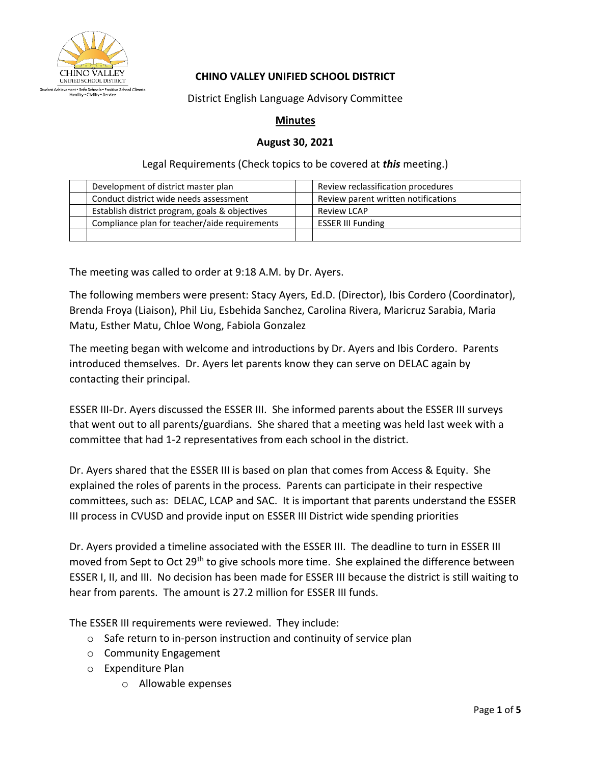

## **CHINO VALLEY UNIFIED SCHOOL DISTRICT**

District English Language Advisory Committee

## **Minutes**

## **August 30, 2021**

Legal Requirements (Check topics to be covered at *this* meeting.)

| Development of district master plan            | Review reclassification procedures  |
|------------------------------------------------|-------------------------------------|
| Conduct district wide needs assessment         | Review parent written notifications |
| Establish district program, goals & objectives | <b>Review LCAP</b>                  |
| Compliance plan for teacher/aide requirements  | <b>ESSER III Funding</b>            |
|                                                |                                     |

The meeting was called to order at 9:18 A.M. by Dr. Ayers.

The following members were present: Stacy Ayers, Ed.D. (Director), Ibis Cordero (Coordinator), Brenda Froya (Liaison), Phil Liu, Esbehida Sanchez, Carolina Rivera, Maricruz Sarabia, Maria Matu, Esther Matu, Chloe Wong, Fabiola Gonzalez

The meeting began with welcome and introductions by Dr. Ayers and Ibis Cordero. Parents introduced themselves. Dr. Ayers let parents know they can serve on DELAC again by contacting their principal.

ESSER III-Dr. Ayers discussed the ESSER III. She informed parents about the ESSER III surveys that went out to all parents/guardians. She shared that a meeting was held last week with a committee that had 1-2 representatives from each school in the district.

Dr. Ayers shared that the ESSER III is based on plan that comes from Access & Equity. She explained the roles of parents in the process. Parents can participate in their respective committees, such as: DELAC, LCAP and SAC. It is important that parents understand the ESSER III process in CVUSD and provide input on ESSER III District wide spending priorities

Dr. Ayers provided a timeline associated with the ESSER III. The deadline to turn in ESSER III moved from Sept to Oct 29<sup>th</sup> to give schools more time. She explained the difference between ESSER I, II, and III. No decision has been made for ESSER III because the district is still waiting to hear from parents. The amount is 27.2 million for ESSER III funds.

The ESSER III requirements were reviewed. They include:

- o Safe return to in-person instruction and continuity of service plan
- o Community Engagement
- o Expenditure Plan
	- o Allowable expenses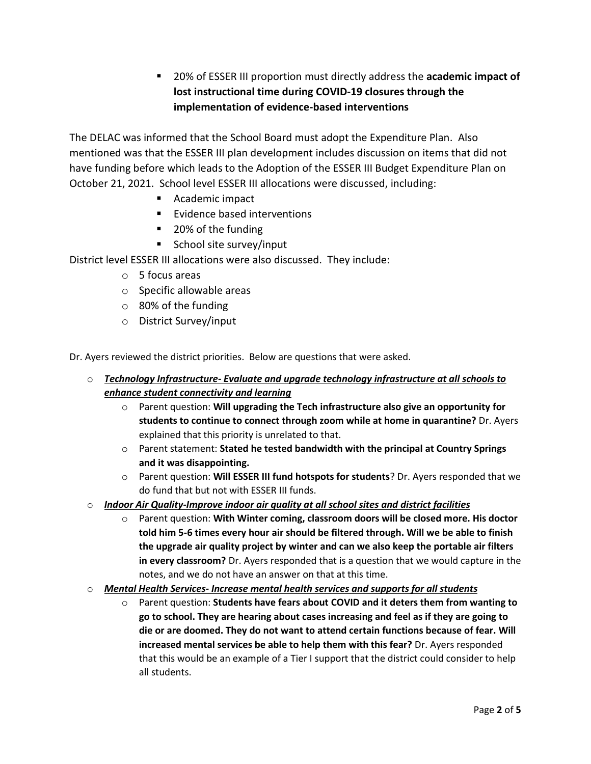■ 20% of ESSER III proportion must directly address the **academic impact of lost instructional time during COVID-19 closures through the implementation of evidence-based interventions**

The DELAC was informed that the School Board must adopt the Expenditure Plan. Also mentioned was that the ESSER III plan development includes discussion on items that did not have funding before which leads to the Adoption of the ESSER III Budget Expenditure Plan on October 21, 2021. School level ESSER III allocations were discussed, including:

- Academic impact
- Evidence based interventions
- 20% of the funding
- School site survey/input

District level ESSER III allocations were also discussed. They include:

- o 5 focus areas
- o Specific allowable areas
- $\circ$  80% of the funding
- o District Survey/input

Dr. Ayers reviewed the district priorities. Below are questions that were asked.

- o *Technology Infrastructure- Evaluate and upgrade technology infrastructure at all schools to enhance student connectivity and learning*
	- o Parent question: **Will upgrading the Tech infrastructure also give an opportunity for students to continue to connect through zoom while at home in quarantine?** Dr. Ayers explained that this priority is unrelated to that.
	- o Parent statement: **Stated he tested bandwidth with the principal at Country Springs and it was disappointing.**
	- o Parent question: **Will ESSER III fund hotspots for students**? Dr. Ayers responded that we do fund that but not with ESSER III funds.
- o *Indoor Air Quality-Improve indoor air quality at all school sites and district facilities*
	- o Parent question: **With Winter coming, classroom doors will be closed more. His doctor told him 5-6 times every hour air should be filtered through. Will we be able to finish the upgrade air quality project by winter and can we also keep the portable air filters in every classroom?** Dr. Ayers responded that is a question that we would capture in the notes, and we do not have an answer on that at this time.
- o *Mental Health Services- Increase mental health services and supports for all students*
	- o Parent question: **Students have fears about COVID and it deters them from wanting to go to school. They are hearing about cases increasing and feel as if they are going to die or are doomed. They do not want to attend certain functions because of fear. Will increased mental services be able to help them with this fear?** Dr. Ayers responded that this would be an example of a Tier I support that the district could consider to help all students.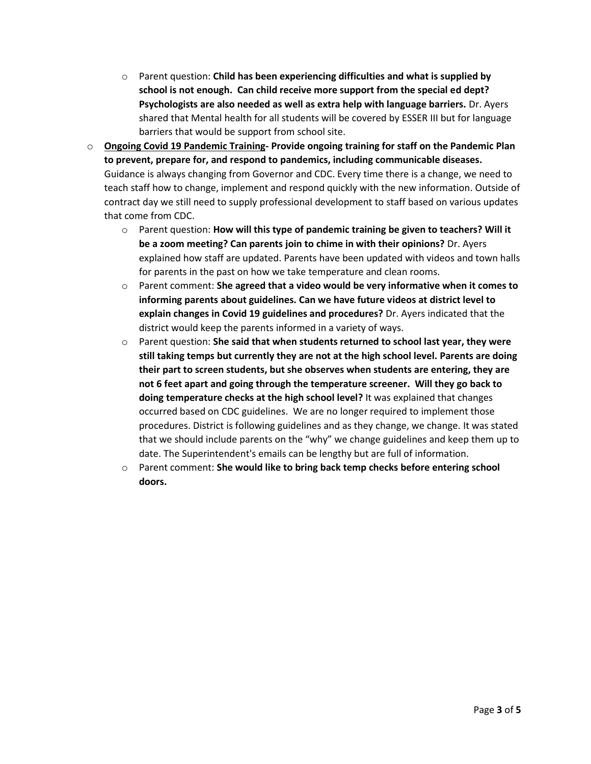- o Parent question: **Child has been experiencing difficulties and what is supplied by school is not enough. Can child receive more support from the special ed dept? Psychologists are also needed as well as extra help with language barriers.** Dr. Ayers shared that Mental health for all students will be covered by ESSER III but for language barriers that would be support from school site.
- o **Ongoing Covid 19 Pandemic Training- Provide ongoing training for staff on the Pandemic Plan to prevent, prepare for, and respond to pandemics, including communicable diseases.** Guidance is always changing from Governor and CDC. Every time there is a change, we need to teach staff how to change, implement and respond quickly with the new information. Outside of contract day we still need to supply professional development to staff based on various updates that come from CDC.
	- o Parent question: **How will this type of pandemic training be given to teachers? Will it be a zoom meeting? Can parents join to chime in with their opinions?** Dr. Ayers explained how staff are updated. Parents have been updated with videos and town halls for parents in the past on how we take temperature and clean rooms.
	- o Parent comment: **She agreed that a video would be very informative when it comes to informing parents about guidelines. Can we have future videos at district level to explain changes in Covid 19 guidelines and procedures?** Dr. Ayers indicated that the district would keep the parents informed in a variety of ways.
	- o Parent question: **She said that when students returned to school last year, they were still taking temps but currently they are not at the high school level. Parents are doing their part to screen students, but she observes when students are entering, they are not 6 feet apart and going through the temperature screener. Will they go back to doing temperature checks at the high school level?** It was explained that changes occurred based on CDC guidelines. We are no longer required to implement those procedures. District is following guidelines and as they change, we change. It was stated that we should include parents on the "why" we change guidelines and keep them up to date. The Superintendent's emails can be lengthy but are full of information.
	- o Parent comment: **She would like to bring back temp checks before entering school doors.**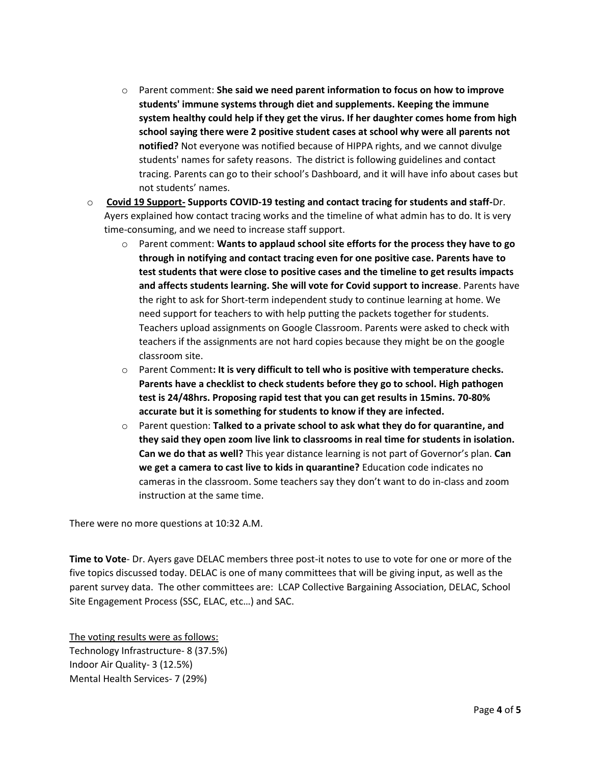- o Parent comment: **She said we need parent information to focus on how to improve students' immune systems through diet and supplements. Keeping the immune system healthy could help if they get the virus. If her daughter comes home from high school saying there were 2 positive student cases at school why were all parents not notified?** Not everyone was notified because of HIPPA rights, and we cannot divulge students' names for safety reasons. The district is following guidelines and contact tracing. Parents can go to their school's Dashboard, and it will have info about cases but not students' names.
- o **Covid 19 Support- Supports COVID-19 testing and contact tracing for students and staff-**Dr. Ayers explained how contact tracing works and the timeline of what admin has to do. It is very time-consuming, and we need to increase staff support.
	- o Parent comment: **Wants to applaud school site efforts for the process they have to go through in notifying and contact tracing even for one positive case. Parents have to test students that were close to positive cases and the timeline to get results impacts and affects students learning. She will vote for Covid support to increase**. Parents have the right to ask for Short-term independent study to continue learning at home. We need support for teachers to with help putting the packets together for students. Teachers upload assignments on Google Classroom. Parents were asked to check with teachers if the assignments are not hard copies because they might be on the google classroom site.
	- o Parent Comment**: It is very difficult to tell who is positive with temperature checks. Parents have a checklist to check students before they go to school. High pathogen test is 24/48hrs. Proposing rapid test that you can get results in 15mins. 70-80% accurate but it is something for students to know if they are infected.**
	- o Parent question: **Talked to a private school to ask what they do for quarantine, and they said they open zoom live link to classrooms in real time for students in isolation. Can we do that as well?** This year distance learning is not part of Governor's plan. **Can we get a camera to cast live to kids in quarantine?** Education code indicates no cameras in the classroom. Some teachers say they don't want to do in-class and zoom instruction at the same time.

There were no more questions at 10:32 A.M.

**Time to Vote**- Dr. Ayers gave DELAC members three post-it notes to use to vote for one or more of the five topics discussed today. DELAC is one of many committees that will be giving input, as well as the parent survey data. The other committees are: LCAP Collective Bargaining Association, DELAC, School Site Engagement Process (SSC, ELAC, etc…) and SAC.

The voting results were as follows: Technology Infrastructure- 8 (37.5%) Indoor Air Quality- 3 (12.5%) Mental Health Services- 7 (29%)